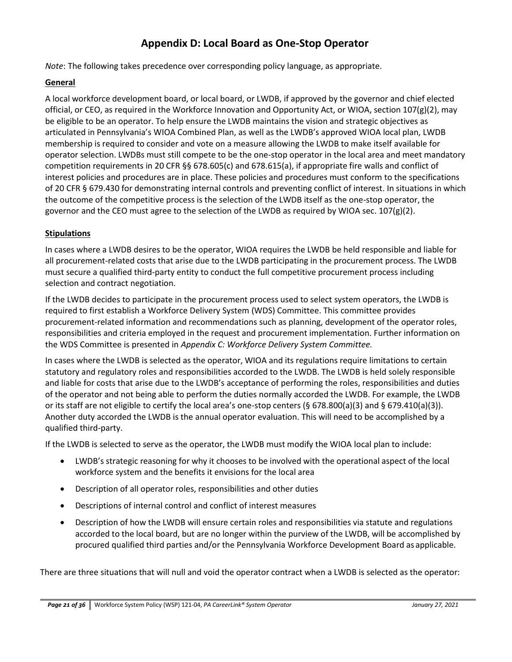# **Appendix D: Local Board as One-Stop Operator**

*Note*: The following takes precedence over corresponding policy language, as appropriate.

### **General**

A local workforce development board, or local board, or LWDB, if approved by the governor and chief elected official, or CEO, as required in the Workforce Innovation and Opportunity Act, or WIOA, section 107(g)(2), may be eligible to be an operator. To help ensure the LWDB maintains the vision and strategic objectives as articulated in Pennsylvania's WIOA Combined Plan, as well as the LWDB's approved WIOA local plan, LWDB membership is required to consider and vote on a measure allowing the LWDB to make itself available for operator selection. LWDBs must still compete to be the one-stop operator in the local area and meet mandatory competition requirements in 20 CFR §§ 678.605(c) and 678.615(a), if appropriate fire walls and conflict of interest policies and procedures are in place. These policies and procedures must conform to the specifications of 20 CFR § 679.430 for demonstrating internal controls and preventing conflict of interest. In situations in which the outcome of the competitive process is the selection of the LWDB itself as the one-stop operator, the governor and the CEO must agree to the selection of the LWDB as required by WIOA sec. 107(g)(2).

### **Stipulations**

In cases where a LWDB desires to be the operator, WIOA requires the LWDB be held responsible and liable for all procurement-related costs that arise due to the LWDB participating in the procurement process. The LWDB must secure a qualified third-party entity to conduct the full competitive procurement process including selection and contract negotiation.

If the LWDB decides to participate in the procurement process used to select system operators, the LWDB is required to first establish a Workforce Delivery System (WDS) Committee. This committee provides procurement-related information and recommendations such as planning, development of the operator roles, responsibilities and criteria employed in the request and procurement implementation. Further information on the WDS Committee is presented in *Appendix C: Workforce Delivery System Committee.*

In cases where the LWDB is selected as the operator, WIOA and its regulations require limitations to certain statutory and regulatory roles and responsibilities accorded to the LWDB. The LWDB is held solely responsible and liable for costs that arise due to the LWDB's acceptance of performing the roles, responsibilities and duties of the operator and not being able to perform the duties normally accorded the LWDB. For example, the LWDB or its staff are not eligible to certify the local area's one-stop centers (§ 678.800(a)(3) and § 679.410(a)(3)). Another duty accorded the LWDB is the annual operator evaluation. This will need to be accomplished by a qualified third-party.

If the LWDB is selected to serve as the operator, the LWDB must modify the WIOA local plan to include:

- LWDB's strategic reasoning for why it chooses to be involved with the operational aspect of the local workforce system and the benefits it envisions for the local area
- Description of all operator roles, responsibilities and other duties
- Descriptions of internal control and conflict of interest measures
- Description of how the LWDB will ensure certain roles and responsibilities via statute and regulations accorded to the local board, but are no longer within the purview of the LWDB, will be accomplished by procured qualified third parties and/or the Pennsylvania Workforce Development Board as applicable.

There are three situations that will null and void the operator contract when a LWDB is selected as the operator: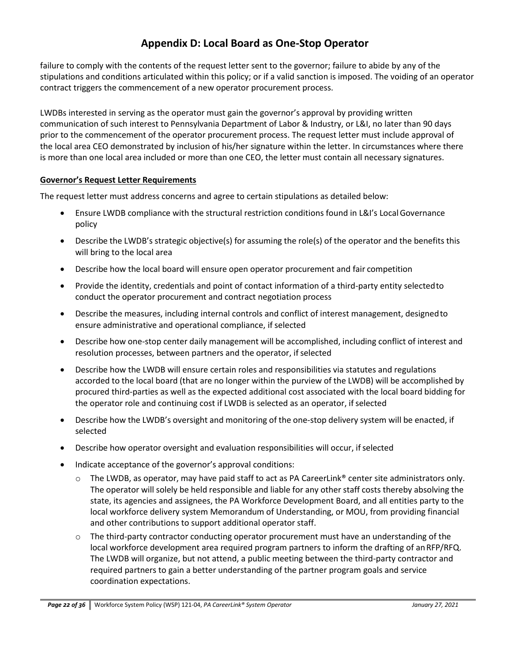# **Appendix D: Local Board as One-Stop Operator**

failure to comply with the contents of the request letter sent to the governor; failure to abide by any of the stipulations and conditions articulated within this policy; or if a valid sanction is imposed. The voiding of an operator contract triggers the commencement of a new operator procurement process.

LWDBs interested in serving as the operator must gain the governor's approval by providing written communication of such interest to Pennsylvania Department of Labor & Industry, or L&I, no later than 90 days prior to the commencement of the operator procurement process. The request letter must include approval of the local area CEO demonstrated by inclusion of his/her signature within the letter. In circumstances where there is more than one local area included or more than one CEO, the letter must contain all necessary signatures.

#### **Governor's Request Letter Requirements**

The request letter must address concerns and agree to certain stipulations as detailed below:

- Ensure LWDB compliance with the structural restriction conditions found in L&I's Local Governance policy
- Describe the LWDB's strategic objective(s) for assuming the role(s) of the operator and the benefits this will bring to the local area
- Describe how the local board will ensure open operator procurement and fair competition
- Provide the identity, credentials and point of contact information of a third-party entity selectedto conduct the operator procurement and contract negotiation process
- Describe the measures, including internal controls and conflict of interest management, designedto ensure administrative and operational compliance, if selected
- Describe how one-stop center daily management will be accomplished, including conflict of interest and resolution processes, between partners and the operator, if selected
- Describe how the LWDB will ensure certain roles and responsibilities via statutes and regulations accorded to the local board (that are no longer within the purview of the LWDB) will be accomplished by procured third-parties as well as the expected additional cost associated with the local board bidding for the operator role and continuing cost if LWDB is selected as an operator, if selected
- Describe how the LWDB's oversight and monitoring of the one-stop delivery system will be enacted, if selected
- Describe how operator oversight and evaluation responsibilities will occur, ifselected
- Indicate acceptance of the governor's approval conditions:
	- $\circ$  The LWDB, as operator, may have paid staff to act as PA CareerLink<sup>®</sup> center site administrators only. The operator will solely be held responsible and liable for any other staff costs thereby absolving the state, its agencies and assignees, the PA Workforce Development Board, and all entities party to the local workforce delivery system Memorandum of Understanding, or MOU, from providing financial and other contributions to support additional operator staff.
	- $\circ$  The third-party contractor conducting operator procurement must have an understanding of the local workforce development area required program partners to inform the drafting of an RFP/RFQ. The LWDB will organize, but not attend, a public meeting between the third-party contractor and required partners to gain a better understanding of the partner program goals and service coordination expectations.